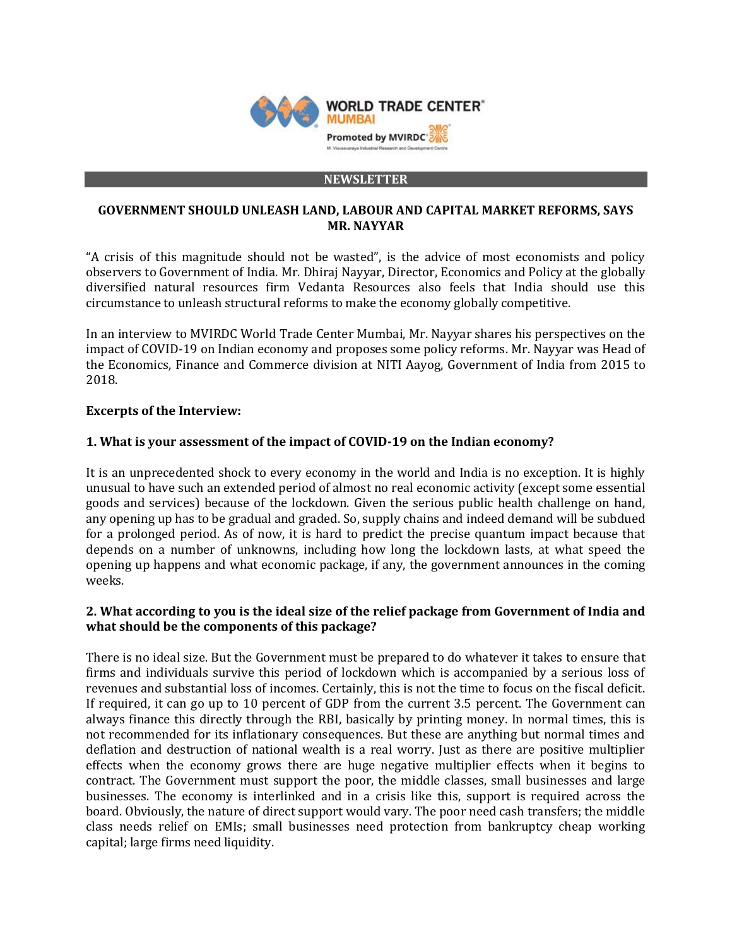

#### **NEWSLETTER**

## **GOVERNMENT SHOULD UNLEASH LAND, LABOUR AND CAPITAL MARKET REFORMS, SAYS MR. NAYYAR**

"A crisis of this magnitude should not be wasted", is the advice of most economists and policy observers to Government of India. Mr. Dhiraj Nayyar, Director, Economics and Policy at the globally diversified natural resources firm Vedanta Resources also feels that India should use this circumstance to unleash structural reforms to make the economy globally competitive.

In an interview to MVIRDC World Trade Center Mumbai, Mr. Nayyar shares his perspectives on the impact of COVID-19 on Indian economy and proposes some policy reforms. Mr. Nayyar was Head of the Economics, Finance and Commerce division at NITI Aayog, Government of India from 2015 to 2018.

## **Excerpts of the Interview:**

## **1. What is your assessment of the impact of COVID-19 on the Indian economy?**

It is an unprecedented shock to every economy in the world and India is no exception. It is highly unusual to have such an extended period of almost no real economic activity (except some essential goods and services) because of the lockdown. Given the serious public health challenge on hand, any opening up has to be gradual and graded. So, supply chains and indeed demand will be subdued for a prolonged period. As of now, it is hard to predict the precise quantum impact because that depends on a number of unknowns, including how long the lockdown lasts, at what speed the opening up happens and what economic package, if any, the government announces in the coming weeks.

## **2. What according to you is the ideal size of the relief package from Government of India and what should be the components of this package?**

There is no ideal size. But the Government must be prepared to do whatever it takes to ensure that firms and individuals survive this period of lockdown which is accompanied by a serious loss of revenues and substantial loss of incomes. Certainly, this is not the time to focus on the fiscal deficit. If required, it can go up to 10 percent of GDP from the current 3.5 percent. The Government can always finance this directly through the RBI, basically by printing money. In normal times, this is not recommended for its inflationary consequences. But these are anything but normal times and deflation and destruction of national wealth is a real worry. Just as there are positive multiplier effects when the economy grows there are huge negative multiplier effects when it begins to contract. The Government must support the poor, the middle classes, small businesses and large businesses. The economy is interlinked and in a crisis like this, support is required across the board. Obviously, the nature of direct support would vary. The poor need cash transfers; the middle class needs relief on EMIs; small businesses need protection from bankruptcy cheap working capital; large firms need liquidity.